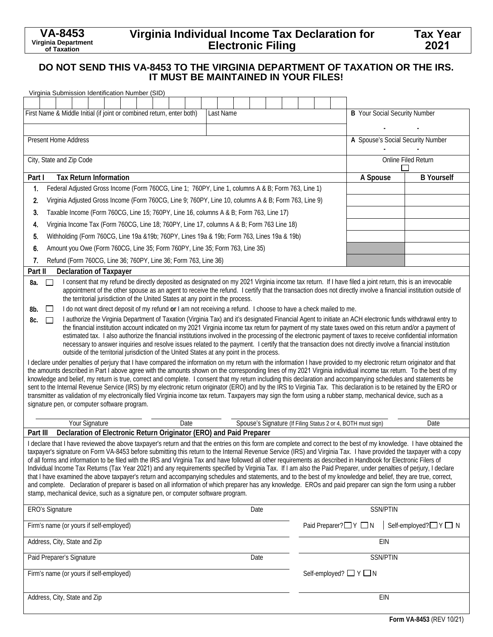# **Virginia Individual Income Tax Declaration for Electronic Filing**

# **DO NOT SEND THIS VA-8453 TO THE VIRGINIA DEPARTMENT OF TAXATION OR THE IRS. IT MUST BE MAINTAINED IN YOUR FILES!**

|                                                                                                                                                                                                                                                                                                                                                                                                                                                                                                                                                                                                                                                                                                                                                                                                                                                                                                                                                                                                                                                                                                                                                                                                       |                                                                                                                                                                                                                                                                                                                                                                                                                          | Virginia Submission Identification Number (SID)                                                    |  |  |  |  |  |  |  |  |  |                                  |                 |                                      |            |                                   |  |                     |                 |  |                    |  |
|-------------------------------------------------------------------------------------------------------------------------------------------------------------------------------------------------------------------------------------------------------------------------------------------------------------------------------------------------------------------------------------------------------------------------------------------------------------------------------------------------------------------------------------------------------------------------------------------------------------------------------------------------------------------------------------------------------------------------------------------------------------------------------------------------------------------------------------------------------------------------------------------------------------------------------------------------------------------------------------------------------------------------------------------------------------------------------------------------------------------------------------------------------------------------------------------------------|--------------------------------------------------------------------------------------------------------------------------------------------------------------------------------------------------------------------------------------------------------------------------------------------------------------------------------------------------------------------------------------------------------------------------|----------------------------------------------------------------------------------------------------|--|--|--|--|--|--|--|--|--|----------------------------------|-----------------|--------------------------------------|------------|-----------------------------------|--|---------------------|-----------------|--|--------------------|--|
|                                                                                                                                                                                                                                                                                                                                                                                                                                                                                                                                                                                                                                                                                                                                                                                                                                                                                                                                                                                                                                                                                                                                                                                                       |                                                                                                                                                                                                                                                                                                                                                                                                                          |                                                                                                    |  |  |  |  |  |  |  |  |  |                                  |                 |                                      |            |                                   |  |                     |                 |  |                    |  |
| First Name & Middle Initial (if joint or combined return, enter both)<br>Last Name                                                                                                                                                                                                                                                                                                                                                                                                                                                                                                                                                                                                                                                                                                                                                                                                                                                                                                                                                                                                                                                                                                                    |                                                                                                                                                                                                                                                                                                                                                                                                                          |                                                                                                    |  |  |  |  |  |  |  |  |  |                                  |                 | <b>B</b> Your Social Security Number |            |                                   |  |                     |                 |  |                    |  |
|                                                                                                                                                                                                                                                                                                                                                                                                                                                                                                                                                                                                                                                                                                                                                                                                                                                                                                                                                                                                                                                                                                                                                                                                       |                                                                                                                                                                                                                                                                                                                                                                                                                          |                                                                                                    |  |  |  |  |  |  |  |  |  |                                  |                 |                                      |            |                                   |  |                     |                 |  |                    |  |
|                                                                                                                                                                                                                                                                                                                                                                                                                                                                                                                                                                                                                                                                                                                                                                                                                                                                                                                                                                                                                                                                                                                                                                                                       | Present Home Address                                                                                                                                                                                                                                                                                                                                                                                                     |                                                                                                    |  |  |  |  |  |  |  |  |  |                                  |                 |                                      |            | A Spouse's Social Security Number |  |                     |                 |  |                    |  |
|                                                                                                                                                                                                                                                                                                                                                                                                                                                                                                                                                                                                                                                                                                                                                                                                                                                                                                                                                                                                                                                                                                                                                                                                       | City, State and Zip Code                                                                                                                                                                                                                                                                                                                                                                                                 |                                                                                                    |  |  |  |  |  |  |  |  |  |                                  |                 |                                      |            | Online Filed Return               |  |                     |                 |  |                    |  |
| <b>Tax Return Information</b><br>Part I                                                                                                                                                                                                                                                                                                                                                                                                                                                                                                                                                                                                                                                                                                                                                                                                                                                                                                                                                                                                                                                                                                                                                               |                                                                                                                                                                                                                                                                                                                                                                                                                          |                                                                                                    |  |  |  |  |  |  |  |  |  |                                  |                 | <b>B</b> Yourself<br>A Spouse        |            |                                   |  |                     |                 |  |                    |  |
| 1.                                                                                                                                                                                                                                                                                                                                                                                                                                                                                                                                                                                                                                                                                                                                                                                                                                                                                                                                                                                                                                                                                                                                                                                                    |                                                                                                                                                                                                                                                                                                                                                                                                                          | Federal Adjusted Gross Income (Form 760CG, Line 1; 760PY, Line 1, columns A & B; Form 763, Line 1) |  |  |  |  |  |  |  |  |  |                                  |                 |                                      |            |                                   |  |                     |                 |  |                    |  |
| 2.                                                                                                                                                                                                                                                                                                                                                                                                                                                                                                                                                                                                                                                                                                                                                                                                                                                                                                                                                                                                                                                                                                                                                                                                    | Virginia Adjusted Gross Income (Form 760CG, Line 9; 760PY, Line 10, columns A & B; Form 763, Line 9)                                                                                                                                                                                                                                                                                                                     |                                                                                                    |  |  |  |  |  |  |  |  |  |                                  |                 |                                      |            |                                   |  |                     |                 |  |                    |  |
| 3.                                                                                                                                                                                                                                                                                                                                                                                                                                                                                                                                                                                                                                                                                                                                                                                                                                                                                                                                                                                                                                                                                                                                                                                                    | Taxable Income (Form 760CG, Line 15; 760PY, Line 16, columns A & B; Form 763, Line 17)                                                                                                                                                                                                                                                                                                                                   |                                                                                                    |  |  |  |  |  |  |  |  |  |                                  |                 |                                      |            |                                   |  |                     |                 |  |                    |  |
| 4.                                                                                                                                                                                                                                                                                                                                                                                                                                                                                                                                                                                                                                                                                                                                                                                                                                                                                                                                                                                                                                                                                                                                                                                                    | Virginia Income Tax (Form 760CG, Line 18; 760PY, Line 17, columns A & B; Form 763 Line 18)                                                                                                                                                                                                                                                                                                                               |                                                                                                    |  |  |  |  |  |  |  |  |  |                                  |                 |                                      |            |                                   |  |                     |                 |  |                    |  |
| 5.                                                                                                                                                                                                                                                                                                                                                                                                                                                                                                                                                                                                                                                                                                                                                                                                                                                                                                                                                                                                                                                                                                                                                                                                    | Withholding (Form 760CG, Line 19a & 19b; 760PY, Lines 19a & 19b; Form 763, Lines 19a & 19b)                                                                                                                                                                                                                                                                                                                              |                                                                                                    |  |  |  |  |  |  |  |  |  |                                  |                 |                                      |            |                                   |  |                     |                 |  |                    |  |
| 6.                                                                                                                                                                                                                                                                                                                                                                                                                                                                                                                                                                                                                                                                                                                                                                                                                                                                                                                                                                                                                                                                                                                                                                                                    | Amount you Owe (Form 760CG, Line 35; Form 760PY, Line 35; Form 763, Line 35)                                                                                                                                                                                                                                                                                                                                             |                                                                                                    |  |  |  |  |  |  |  |  |  |                                  |                 |                                      |            |                                   |  |                     |                 |  |                    |  |
| 7.                                                                                                                                                                                                                                                                                                                                                                                                                                                                                                                                                                                                                                                                                                                                                                                                                                                                                                                                                                                                                                                                                                                                                                                                    |                                                                                                                                                                                                                                                                                                                                                                                                                          | Refund (Form 760CG, Line 36; 760PY, Line 36; Form 763, Line 36)                                    |  |  |  |  |  |  |  |  |  |                                  |                 |                                      |            |                                   |  |                     |                 |  |                    |  |
| Part II                                                                                                                                                                                                                                                                                                                                                                                                                                                                                                                                                                                                                                                                                                                                                                                                                                                                                                                                                                                                                                                                                                                                                                                               |                                                                                                                                                                                                                                                                                                                                                                                                                          | <b>Declaration of Taxpayer</b>                                                                     |  |  |  |  |  |  |  |  |  |                                  |                 |                                      |            |                                   |  |                     |                 |  |                    |  |
| 8a.                                                                                                                                                                                                                                                                                                                                                                                                                                                                                                                                                                                                                                                                                                                                                                                                                                                                                                                                                                                                                                                                                                                                                                                                   | I consent that my refund be directly deposited as designated on my 2021 Virginia income tax return. If I have filed a joint return, this is an irrevocable<br>$\Box$<br>appointment of the other spouse as an agent to receive the refund. I certify that the transaction does not directly involve a financial institution outside of<br>the territorial jurisdiction of the United States at any point in the process. |                                                                                                    |  |  |  |  |  |  |  |  |  |                                  |                 |                                      |            |                                   |  |                     |                 |  |                    |  |
| 8b.                                                                                                                                                                                                                                                                                                                                                                                                                                                                                                                                                                                                                                                                                                                                                                                                                                                                                                                                                                                                                                                                                                                                                                                                   | I do not want direct deposit of my refund or I am not receiving a refund. I choose to have a check mailed to me.<br>$\Box$                                                                                                                                                                                                                                                                                               |                                                                                                    |  |  |  |  |  |  |  |  |  |                                  |                 |                                      |            |                                   |  |                     |                 |  |                    |  |
| I authorize the Virginia Department of Taxation (Virginia Tax) and it's designated Financial Agent to initiate an ACH electronic funds withdrawal entry to<br>8c.<br>$\Box$<br>the financial institution account indicated on my 2021 Virginia income tax return for payment of my state taxes owed on this return and/or a payment of<br>estimated tax. I also authorize the financial institutions involved in the processing of the electronic payment of taxes to receive confidential information<br>necessary to answer inquiries and resolve issues related to the payment. I certify that the transaction does not directly involve a financial institution<br>outside of the territorial jurisdiction of the United States at any point in the process.                                                                                                                                                                                                                                                                                                                                                                                                                                      |                                                                                                                                                                                                                                                                                                                                                                                                                          |                                                                                                    |  |  |  |  |  |  |  |  |  |                                  |                 |                                      |            |                                   |  |                     |                 |  |                    |  |
| I declare under penalties of perjury that I have compared the information on my return with the information I have provided to my electronic return originator and that<br>the amounts described in Part I above agree with the amounts shown on the corresponding lines of my 2021 Virginia individual income tax return. To the best of my<br>knowledge and belief, my return is true, correct and complete. I consent that my return including this declaration and accompanying schedules and statements be<br>sent to the Internal Revenue Service (IRS) by my electronic return originator (ERO) and by the IRS to Virginia Tax. This declaration is to be retained by the ERO or<br>transmitter as validation of my electronically filed Virginia income tax return. Taxpayers may sign the form using a rubber stamp, mechanical device, such as a<br>signature pen, or computer software program.                                                                                                                                                                                                                                                                                            |                                                                                                                                                                                                                                                                                                                                                                                                                          |                                                                                                    |  |  |  |  |  |  |  |  |  |                                  |                 |                                      |            |                                   |  |                     |                 |  |                    |  |
| Your Signature<br>Date<br>Spouse's Signature (If Filing Status 2 or 4, BOTH must sign)                                                                                                                                                                                                                                                                                                                                                                                                                                                                                                                                                                                                                                                                                                                                                                                                                                                                                                                                                                                                                                                                                                                |                                                                                                                                                                                                                                                                                                                                                                                                                          |                                                                                                    |  |  |  |  |  |  |  |  |  |                                  |                 |                                      |            | Date                              |  |                     |                 |  |                    |  |
| Declaration of Electronic Return Originator (ERO) and Paid Preparer<br>Part III<br>I declare that I have reviewed the above taxpayer's return and that the entries on this form are complete and correct to the best of my knowledge. I have obtained the<br>taxpayer's signature on Form VA-8453 before submitting this return to the Internal Revenue Service (IRS) and Virginia Tax. I have provided the taxpayer with a copy<br>of all forms and information to be filed with the IRS and Virginia Tax and have followed all other requirements as described in Handbook for Electronic Filers of<br>Individual Income Tax Returns (Tax Year 2021) and any requirements specified by Virginia Tax. If I am also the Paid Preparer, under penalties of perjury, I declare<br>that I have examined the above taxpayer's return and accompanying schedules and statements, and to the best of my knowledge and belief, they are true, correct,<br>and complete. Declaration of preparer is based on all information of which preparer has any knowledge. EROs and paid preparer can sign the form using a rubber<br>stamp, mechanical device, such as a signature pen, or computer software program. |                                                                                                                                                                                                                                                                                                                                                                                                                          |                                                                                                    |  |  |  |  |  |  |  |  |  |                                  |                 |                                      |            |                                   |  |                     |                 |  |                    |  |
| <b>ERO's Signature</b><br>Date                                                                                                                                                                                                                                                                                                                                                                                                                                                                                                                                                                                                                                                                                                                                                                                                                                                                                                                                                                                                                                                                                                                                                                        |                                                                                                                                                                                                                                                                                                                                                                                                                          |                                                                                                    |  |  |  |  |  |  |  |  |  |                                  |                 |                                      |            |                                   |  |                     | <b>SSN/PTIN</b> |  |                    |  |
|                                                                                                                                                                                                                                                                                                                                                                                                                                                                                                                                                                                                                                                                                                                                                                                                                                                                                                                                                                                                                                                                                                                                                                                                       |                                                                                                                                                                                                                                                                                                                                                                                                                          | Firm's name (or yours if self-employed)                                                            |  |  |  |  |  |  |  |  |  |                                  |                 |                                      |            |                                   |  | Paid Preparer?□Y □N |                 |  | Self-employed?□Y□N |  |
|                                                                                                                                                                                                                                                                                                                                                                                                                                                                                                                                                                                                                                                                                                                                                                                                                                                                                                                                                                                                                                                                                                                                                                                                       |                                                                                                                                                                                                                                                                                                                                                                                                                          | Address, City, State and Zip                                                                       |  |  |  |  |  |  |  |  |  |                                  |                 |                                      | <b>EIN</b> |                                   |  |                     |                 |  |                    |  |
| Paid Preparer's Signature<br>Date                                                                                                                                                                                                                                                                                                                                                                                                                                                                                                                                                                                                                                                                                                                                                                                                                                                                                                                                                                                                                                                                                                                                                                     |                                                                                                                                                                                                                                                                                                                                                                                                                          |                                                                                                    |  |  |  |  |  |  |  |  |  |                                  | <b>SSN/PTIN</b> |                                      |            |                                   |  |                     |                 |  |                    |  |
| Firm's name (or yours if self-employed)                                                                                                                                                                                                                                                                                                                                                                                                                                                                                                                                                                                                                                                                                                                                                                                                                                                                                                                                                                                                                                                                                                                                                               |                                                                                                                                                                                                                                                                                                                                                                                                                          |                                                                                                    |  |  |  |  |  |  |  |  |  | Self-employed? $\Box$ Y $\Box$ N |                 |                                      |            |                                   |  |                     |                 |  |                    |  |
| Address, City, State and Zip                                                                                                                                                                                                                                                                                                                                                                                                                                                                                                                                                                                                                                                                                                                                                                                                                                                                                                                                                                                                                                                                                                                                                                          |                                                                                                                                                                                                                                                                                                                                                                                                                          |                                                                                                    |  |  |  |  |  |  |  |  |  | EIN                              |                 |                                      |            |                                   |  |                     |                 |  |                    |  |